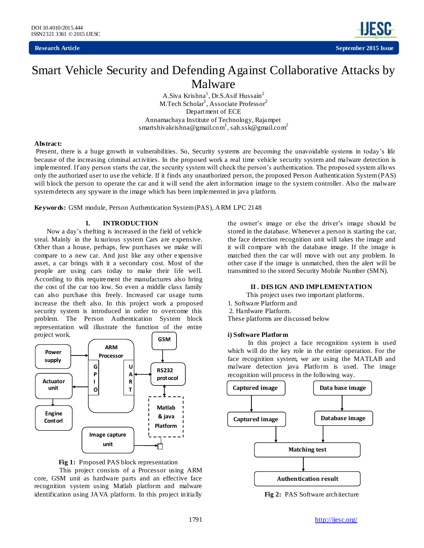

# Smart Vehicle Security and Defending Against Collaborative Attacks by Malware

A.Siva Krishna $^1$ , Dr.S.Asif Hussain $^2$ M.Tech Scholar<sup>1</sup>, Associate Professor<sup>2</sup> Department of ECE Annamachaya Institute of Technology, Rajampet smartshivakrishna@gmail.com<sup>1</sup> *,* sah.ssk@gmail.com<sup>2</sup>

#### **Abstract:**

Present, there is a huge growth in vulnerabilities. So, Security systems are becoming the unavoidable systems in today's life because of the increasing criminal activities. In the proposed work a real time vehicle security system and malware detection is implemented. If any person starts the car, the security system will check the person's authentication. The proposed system allows only the authorized user to use the vehicle. If it finds any unauthorized person, the proposed Person Authentication System (PAS) will block the person to operate the car and it will send the alert information image to the system controller. Also the malware system detects any spyware in the image which has been implemented in java platform.

**Keywords:** GSM module, Person Authentication System (PAS), ARM LPC 2148

### **I. INTRODUCTION**

Now a day's thefting is increased in the field of vehicle steal. Mainly in the luxurious system Cars are expensive. Other than a house, perhaps, few purchases we make will compare to a new car. And just like any other expensive asset, a car brings with it a secondary cost. Most of the people are using cars today to make their life well. According to this requirement the manufactures also bring the cost of the car too low. So even a middle class family can also purchase this freely. Increased car usage turns increase the theft also. In this project work a proposed security system is introduced in order to overcome this problem. The Person Authentication System block representation will illustrate the function of the entire project work.





This project consists of a Processor using ARM core, GSM unit as hardware parts and an effective face recognition system using Matlab platform and malware identification using JAVA platform. In this project initially

the owner's image or else the driver's image should be stored in the database. Whenever a person is starting the car, the face detection recognition unit will takes the image and it will compare with the database image. If the image is matched then the car will move with out any problem. In other case if the image is unmatched, then the alert will be transmitted to the stored Security Mobile Number (SMN).

#### **II . DES IGN AND IMPLEMENTATION**

This project uses two important platforms.

- 1. Software Platform and
- 2. Hardware Platform.

These platforms are discussed below

#### **i) Software Platform**

 In this project a face recognition system is used which will do the key role in the entire operation. For the face recognition system, we are using the MATLAB and malware detection java Platform is used. The image recognition will process in the following way.



**Fig 2:** PAS Software architecture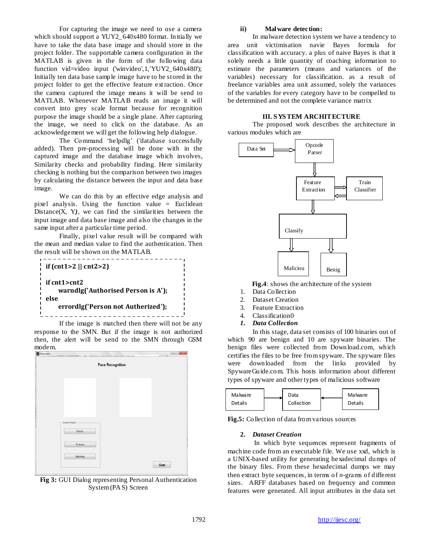For capturing the image we need to use a camera which should support a YUY2\_640x480 format. Initially we have to take the data base image and should store in the project folder. The supportable camera configuration in the MATLAB is given in the form of the following data function vid=video input ('winvideo',1,'YUY2\_640x480'); Initially ten data base sample image have to be stored in the project folder to get the effective feature extraction. Once the camera captured the image means it will be send to MATLAB. Whenever MATLAB reads an image it will convert into grey scale format because for recognition purpose the image should be a single plane. After capturing the image, we need to click on the database. As an acknowledgement we will get the following help dialogue.

The Command 'helpdlg' ('database successfully added). Then pre-processing will be done with in the captured image and the database image which involves, Similarity checks and probability finding. Here similarity checking is nothing but the comparison between two images by calculating the distance between the input and data base image.

We can do this by an effective edge analysis and pixel analysis. Using the function value = Euclidean Distance $(X, Y)$ , we can find the similarities between the input image and data base image and also the changes in the same input after a particular time period.

Finally, pixel value result will be compared with the mean and median value to find the authentication. Then the result will be shown on the MATLAB.



If the image is matched then there will not be any response to the SMN. But if the image is not authorized then, the alert will be send to the SMN through GSM modem.

| - Control Panel- |          |                         |
|------------------|----------|-------------------------|
| Person           |          |                         |
| Features         |          |                         |
|                  |          | Clear                   |
|                  | Matching | <b>Face Recognition</b> |

**Fig 3:** GUI Dialog representing Personal Authentication System (PAS) Screen

#### **ii) Malware detection:**

In malware detection system we have a tendency to area unit victimisation navie Bayes formula for classification with accuracy. a plus of naive Bayes is that it solely needs a little quantity of coaching information to estimate the parameters (means and variances of the variables) necessary for classification. as a result of freelance variables area unit assumed, solely the variances of the variables for every category have to be compelled to be determined and not the complete variance matrix

# **III. S YS TEM ARCHITECTURE**

The proposed work describes the architecture in various modules which are



**Fig.4**: shows the architecture of the system

- 1. Data Collection
- 2. Dataset Creation
- 3. Feature Extraction
- 4. Classification0
- *1. Data Collection*

In this stage, data set consists of 100 binaries out of which 90 are benign and 10 are spyware binaries. The benign files were collected from Download.com, which certifies the files to be free from spyware. The spyware files were downloaded from the links provided by SpywareGuide.com. This hosts information about different types of spyware and other types of malicious software



**Fig.5:** Collection of data from various sources

# **2.** *Dataset Creation*

In which byte sequences represent fragments of machine code from an executable file. We use xxd, which is a UNIX-based utility for generating hexadecimal dumps of the binary files. From these hexadecimal dumps we may then extract byte sequences, in terms of *n*-grams of different sizes. ARFF databases based on frequency and common features were generated. All input attributes in the data set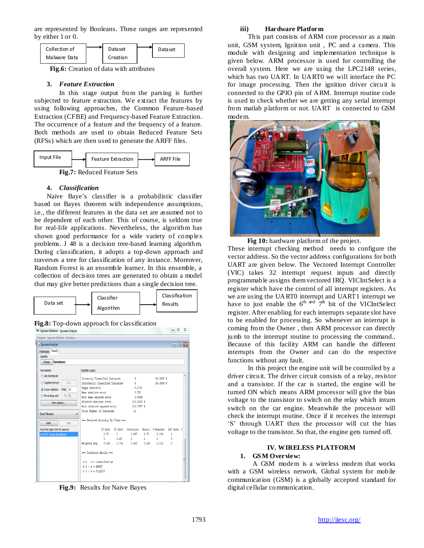are represented by Booleans. These ranges are represented by either 1 or 0.



 **Fig.6:** Creation of data with attributes

# **3.** *Feature Extraction*

In this stage output from the parsing is further subjected to feature extraction. We extract the features by using following approaches, the Common Feature-based Extraction (CFBE) and Frequency-based Feature Extraction. The occurrence of a feature and the frequency of a feature. Both methods are used to obtain Reduced Feature Sets (RFSs) which are then used to generate the ARFF files.



# **4.** *Classification*

Naive Baye's classifier is a probabilistic classifier based on Bayes theorem with independence assumptions, i.e., the different features in the data set are assumed not to be dependent of each other. This of course, is seldom true for real-life applications. Nevertheless, the algorithm has shown good performance for a wide variety of complex problems. J 48 is a decision tree-based learning algorithm. During classification, it adopts a top-down approach and traverses a tree for classification of any instance. Moreover, Random Forest is an ensemble learner. In this ensemble, a collection of decision trees are generated to obtain a model that may give better predictions than a single decision tree.



| Fig.8: Top-down approach for classification |
|---------------------------------------------|
|---------------------------------------------|



**Fig.9:** Results for Naive Bayes

## **iii) Hardware Platform**

 This part consists of ARM core processor as a main unit, GSM system, Ignition unit , PC and a camera. This module with designing and implementation technique is given below. ARM processor is used for controlling the overall system. Here we are using the LPC2148 series, which has two UART. In UART0 we will interface the PC for image processing. Then the ignition driver circuit is connected to the GPIO pin of ARM. Interrupt routine code is used to check whether we are getting any serial interrupt from matlab platform or not. UART is connected to GSM modem.



**Fig 10:** hardware platform of the project.

These interrupt checking method needs to configure the vector address. So the vector address configurations for both UART are given below. The Vectored Interrupt Controller (VIC) takes 32 interrupt request inputs and directly programmable assigns them vectored IRQ. VICIntSelect is a register which have the control of all interrupt registers. As we are using the UART0 interrupt and UART1 interrupt we have to just enable the  $6^{\text{th and}}$   $7^{\text{th}}$  bit of the VICIntSelect register. After enabling for each interrupts separate slot have to be enabled for processing. So whenever an interrupt is coming from the Owner , then ARM processor can directly jumb to the interrupt routine to processing the command.. Because of this facility ARM can handle the different interrupts from the Owner and can do the respective functions without any fault.

 In this project the engine unit will be controlled by a driver circuit. The driver circuit consists of a relay, resistor and a transistor. If the car is started, the engine will be turned ON which means ARM processor will give the bias voltage to the transistor to switch on the relay which inturn switch on the car engine. Meanwhile the processor will check the interrupt routine. Once if it receives the interrupt 'S' through UART then the processor will cut the bias voltage to the transistor. So that, the engine gets turned off.

# **IV. WIRELESS PLATFORM**

# **1. GS M Overview:**

A GSM modem is a wireless modem that works with a GSM wireless network. Global system for mobile communication (GSM) is a globally accepted standard for digital cellular communication.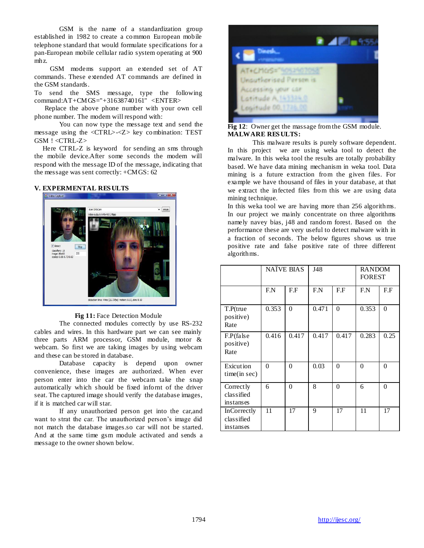GSM is the name of a standardization group established in 1982 to create a common European mobile telephone standard that would formulate specifications for a pan-European mobile cellular radio system operating at 900 mhz.

GSM modems support an extended set of AT commands. These extended AT commands are defined in the GSM standards.

To send the SMS message, type the following command:AT+CMGS="+31638740161" <ENTER>

 Replace the above phone number with your own cell phone number. The modem will respond with:

You can now type the message text and send the message using the <CTRL>-<Z> key combination: TEST GSM ! <CTRL-Z>

Here CTRL-Z is keyword for sending an sms through the mobile device.After some seconds the modem will respond with the message ID of the message, indicating that the message was sent correctly: +CMGS: 62

#### **V. EXPERMENTAL RES ULTS**



## **Fig 11:** Face Detection Module

The connected modules correctly by use RS-232 cables and wires. In this hardware part we can see mainly three parts ARM processor, GSM module, motor & webcam. So first we are taking images by using webcam and these can be stored in database.

Database capacity is depend upon owner convenience, these images are authorized. When ever person enter into the car the webcam take the snap automatically which should be fixed infornt of the driver seat. The captured image should verify the database images, if it is matched car will star.

If any unauthorized person get into the car,and want to strat the car. The unauthorized person's image did not match the database images.so car will not be started. And at the same time gsm module activated and sends a message to the owner shown below.



**Fig 12**: Owner get the massage from the GSM module. **MALWARE RES ULTS:**

This malware results is purely software dependent. In this project we are using weka tool to detect the malware. In this weka tool the results are totally probability based. We have data mining mechanism in weka tool. Data mining is a future extraction from the given files. For example we have thousand of files in your database, at that we extract the infected files from this we are using data mining technique.

In this weka tool we are having more than 256 algorithms. In our project we mainly concentrate on three algorithms namely navey bias, j48 and random forest. Based on the performance these are very useful to detect malware with in a fraction of seconds. The below figures shows us true positive rate and false positive rate of three different algorithms.

|                                               |          | NAÏVE BIAS     | J48   |          | <b>RANDOM</b><br><b>FOREST</b> |          |
|-----------------------------------------------|----------|----------------|-------|----------|--------------------------------|----------|
|                                               | F.N      | F.F            | F.N   | F.F      | F.N                            | F.F      |
| T.P(true<br>positive)<br>Rate                 | 0.353    | $\overline{0}$ | 0.471 | $\theta$ | 0.353                          | $\theta$ |
| F.P(false)<br>positive)<br>Rate               | 0.416    | 0.417          | 0.417 | 0.417    | 0.283                          | 0.25     |
| Exicution<br>time(in sec)                     | $\theta$ | $\Omega$       | 0.03  | $\theta$ | $\theta$                       | 0        |
| Correctly<br>classified<br>instanses          | 6        | $\theta$       | 8     | $\theta$ | 6                              | $\Omega$ |
| <b>InCorrectly</b><br>classified<br>instanses | 11       | 17             | 9     | 17       | 11                             | 17       |